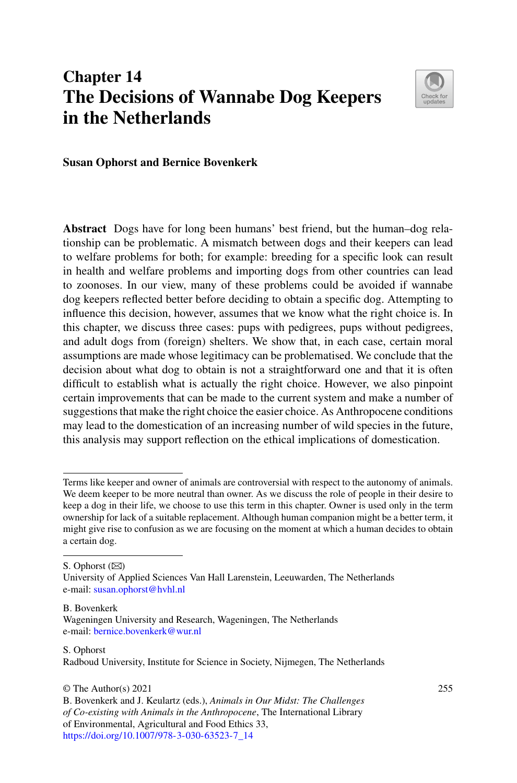# **Chapter 14 The Decisions of Wannabe Dog Keepers in the Netherlands**



**Susan Ophorst and Bernice Bovenkerk**

**Abstract** Dogs have for long been humans' best friend, but the human–dog relationship can be problematic. A mismatch between dogs and their keepers can lead to welfare problems for both; for example: breeding for a specific look can result in health and welfare problems and importing dogs from other countries can lead to zoonoses. In our view, many of these problems could be avoided if wannabe dog keepers reflected better before deciding to obtain a specific dog. Attempting to influence this decision, however, assumes that we know what the right choice is. In this chapter, we discuss three cases: pups with pedigrees, pups without pedigrees, and adult dogs from (foreign) shelters. We show that, in each case, certain moral assumptions are made whose legitimacy can be problematised. We conclude that the decision about what dog to obtain is not a straightforward one and that it is often difficult to establish what is actually the right choice. However, we also pinpoint certain improvements that can be made to the current system and make a number of suggestions that make the right choice the easier choice. As Anthropocene conditions may lead to the domestication of an increasing number of wild species in the future, this analysis may support reflection on the ethical implications of domestication.

S. Ophorst  $(\boxtimes)$ 

B. Bovenkerk

#### S. Ophorst

Radboud University, Institute for Science in Society, Nijmegen, The Netherlands

Terms like keeper and owner of animals are controversial with respect to the autonomy of animals. We deem keeper to be more neutral than owner. As we discuss the role of people in their desire to keep a dog in their life, we choose to use this term in this chapter. Owner is used only in the term ownership for lack of a suitable replacement. Although human companion might be a better term, it might give rise to confusion as we are focusing on the moment at which a human decides to obtain a certain dog.

University of Applied Sciences Van Hall Larenstein, Leeuwarden, The Netherlands e-mail: [susan.ophorst@hvhl.nl](mailto:susan.ophorst@hvhl.nl)

Wageningen University and Research, Wageningen, The Netherlands e-mail: [bernice.bovenkerk@wur.nl](mailto:bernice.bovenkerk@wur.nl)

B. Bovenkerk and J. Keulartz (eds.), *Animals in Our Midst: The Challenges of Co-existing with Animals in the Anthropocene*, The International Library of Environmental, Agricultural and Food Ethics 33, [https://doi.org/10.1007/978-3-030-63523-7\\_14](https://doi.org/10.1007/978-3-030-63523-7_14)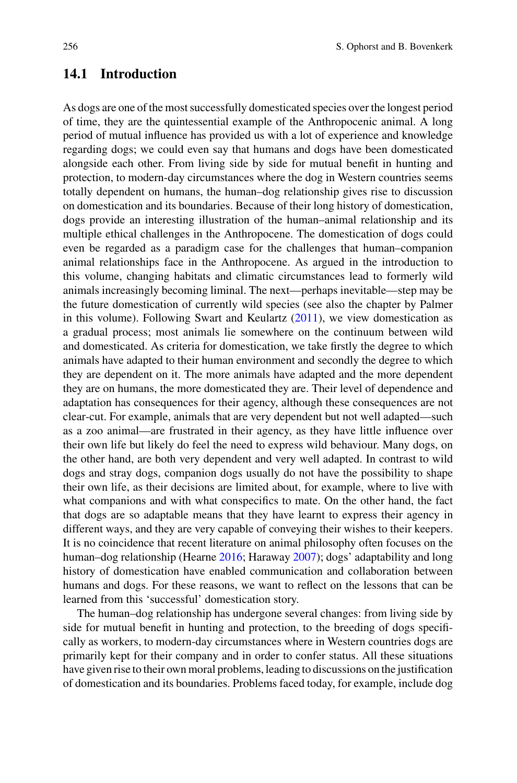#### **14.1 Introduction**

As dogs are one of the most successfully domesticated species over the longest period of time, they are the quintessential example of the Anthropocenic animal. A long period of mutual influence has provided us with a lot of experience and knowledge regarding dogs; we could even say that humans and dogs have been domesticated alongside each other. From living side by side for mutual benefit in hunting and protection, to modern-day circumstances where the dog in Western countries seems totally dependent on humans, the human–dog relationship gives rise to discussion on domestication and its boundaries. Because of their long history of domestication, dogs provide an interesting illustration of the human–animal relationship and its multiple ethical challenges in the Anthropocene. The domestication of dogs could even be regarded as a paradigm case for the challenges that human–companion animal relationships face in the Anthropocene. As argued in the introduction to this volume, changing habitats and climatic circumstances lead to formerly wild animals increasingly becoming liminal. The next—perhaps inevitable—step may be the future domestication of currently wild species (see also the chapter by Palmer in this volume). Following Swart and Keulartz [\(2011\)](#page-19-0), we view domestication as a gradual process; most animals lie somewhere on the continuum between wild and domesticated. As criteria for domestication, we take firstly the degree to which animals have adapted to their human environment and secondly the degree to which they are dependent on it. The more animals have adapted and the more dependent they are on humans, the more domesticated they are. Their level of dependence and adaptation has consequences for their agency, although these consequences are not clear-cut. For example, animals that are very dependent but not well adapted—such as a zoo animal—are frustrated in their agency, as they have little influence over their own life but likely do feel the need to express wild behaviour. Many dogs, on the other hand, are both very dependent and very well adapted. In contrast to wild dogs and stray dogs, companion dogs usually do not have the possibility to shape their own life, as their decisions are limited about, for example, where to live with what companions and with what conspecifics to mate. On the other hand, the fact that dogs are so adaptable means that they have learnt to express their agency in different ways, and they are very capable of conveying their wishes to their keepers. It is no coincidence that recent literature on animal philosophy often focuses on the human–dog relationship (Hearne [2016;](#page-18-0) Haraway [2007\)](#page-18-1); dogs' adaptability and long history of domestication have enabled communication and collaboration between humans and dogs. For these reasons, we want to reflect on the lessons that can be learned from this 'successful' domestication story.

The human–dog relationship has undergone several changes: from living side by side for mutual benefit in hunting and protection, to the breeding of dogs specifically as workers, to modern-day circumstances where in Western countries dogs are primarily kept for their company and in order to confer status. All these situations have given rise to their own moral problems, leading to discussions on the justification of domestication and its boundaries. Problems faced today, for example, include dog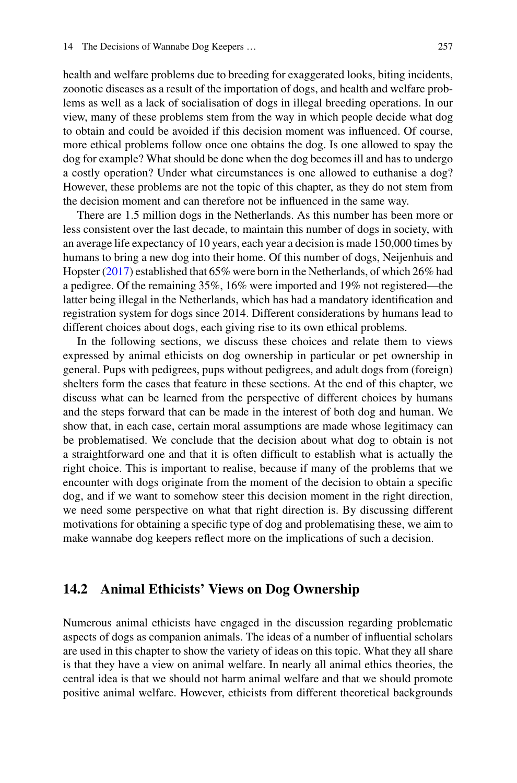health and welfare problems due to breeding for exaggerated looks, biting incidents, zoonotic diseases as a result of the importation of dogs, and health and welfare problems as well as a lack of socialisation of dogs in illegal breeding operations. In our view, many of these problems stem from the way in which people decide what dog to obtain and could be avoided if this decision moment was influenced. Of course, more ethical problems follow once one obtains the dog. Is one allowed to spay the dog for example? What should be done when the dog becomes ill and has to undergo a costly operation? Under what circumstances is one allowed to euthanise a dog? However, these problems are not the topic of this chapter, as they do not stem from the decision moment and can therefore not be influenced in the same way.

There are 1.5 million dogs in the Netherlands. As this number has been more or less consistent over the last decade, to maintain this number of dogs in society, with an average life expectancy of 10 years, each year a decision is made 150,000 times by humans to bring a new dog into their home. Of this number of dogs, Neijenhuis and Hopster [\(2017\)](#page-18-2) established that 65% were born in the Netherlands, of which 26% had a pedigree. Of the remaining 35%, 16% were imported and 19% not registered—the latter being illegal in the Netherlands, which has had a mandatory identification and registration system for dogs since 2014. Different considerations by humans lead to different choices about dogs, each giving rise to its own ethical problems.

In the following sections, we discuss these choices and relate them to views expressed by animal ethicists on dog ownership in particular or pet ownership in general. Pups with pedigrees, pups without pedigrees, and adult dogs from (foreign) shelters form the cases that feature in these sections. At the end of this chapter, we discuss what can be learned from the perspective of different choices by humans and the steps forward that can be made in the interest of both dog and human. We show that, in each case, certain moral assumptions are made whose legitimacy can be problematised. We conclude that the decision about what dog to obtain is not a straightforward one and that it is often difficult to establish what is actually the right choice. This is important to realise, because if many of the problems that we encounter with dogs originate from the moment of the decision to obtain a specific dog, and if we want to somehow steer this decision moment in the right direction, we need some perspective on what that right direction is. By discussing different motivations for obtaining a specific type of dog and problematising these, we aim to make wannabe dog keepers reflect more on the implications of such a decision.

# **14.2 Animal Ethicists' Views on Dog Ownership**

Numerous animal ethicists have engaged in the discussion regarding problematic aspects of dogs as companion animals. The ideas of a number of influential scholars are used in this chapter to show the variety of ideas on this topic. What they all share is that they have a view on animal welfare. In nearly all animal ethics theories, the central idea is that we should not harm animal welfare and that we should promote positive animal welfare. However, ethicists from different theoretical backgrounds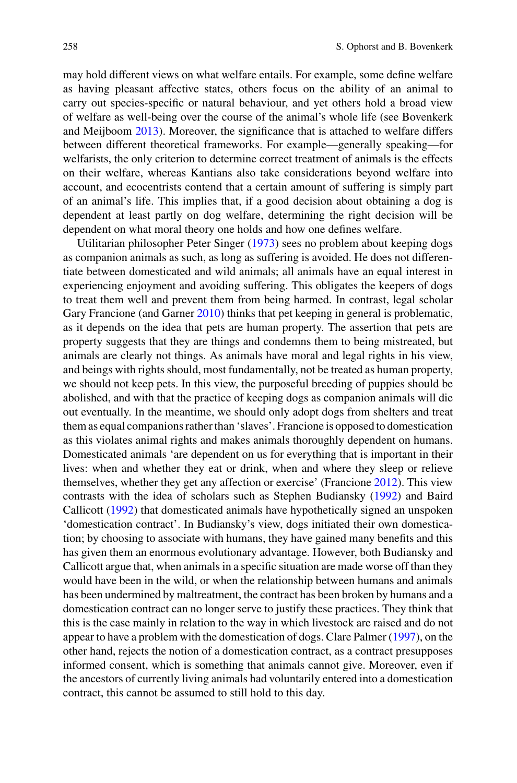may hold different views on what welfare entails. For example, some define welfare as having pleasant affective states, others focus on the ability of an animal to carry out species-specific or natural behaviour, and yet others hold a broad view of welfare as well-being over the course of the animal's whole life (see Bovenkerk and Meijboom [2013\)](#page-17-0). Moreover, the significance that is attached to welfare differs between different theoretical frameworks. For example—generally speaking—for welfarists, the only criterion to determine correct treatment of animals is the effects on their welfare, whereas Kantians also take considerations beyond welfare into account, and ecocentrists contend that a certain amount of suffering is simply part of an animal's life. This implies that, if a good decision about obtaining a dog is dependent at least partly on dog welfare, determining the right decision will be dependent on what moral theory one holds and how one defines welfare.

Utilitarian philosopher Peter Singer [\(1973\)](#page-19-1) sees no problem about keeping dogs as companion animals as such, as long as suffering is avoided. He does not differentiate between domesticated and wild animals; all animals have an equal interest in experiencing enjoyment and avoiding suffering. This obligates the keepers of dogs to treat them well and prevent them from being harmed. In contrast, legal scholar Gary Francione (and Garner [2010\)](#page-17-1) thinks that pet keeping in general is problematic, as it depends on the idea that pets are human property. The assertion that pets are property suggests that they are things and condemns them to being mistreated, but animals are clearly not things. As animals have moral and legal rights in his view, and beings with rights should, most fundamentally, not be treated as human property, we should not keep pets. In this view, the purposeful breeding of puppies should be abolished, and with that the practice of keeping dogs as companion animals will die out eventually. In the meantime, we should only adopt dogs from shelters and treat them as equal companions rather than 'slaves'. Francione is opposed to domestication as this violates animal rights and makes animals thoroughly dependent on humans. Domesticated animals 'are dependent on us for everything that is important in their lives: when and whether they eat or drink, when and where they sleep or relieve themselves, whether they get any affection or exercise' (Francione [2012\)](#page-17-2). This view contrasts with the idea of scholars such as Stephen Budiansky [\(1992\)](#page-17-3) and Baird Callicott [\(1992\)](#page-17-4) that domesticated animals have hypothetically signed an unspoken 'domestication contract'. In Budiansky's view, dogs initiated their own domestication; by choosing to associate with humans, they have gained many benefits and this has given them an enormous evolutionary advantage. However, both Budiansky and Callicott argue that, when animals in a specific situation are made worse off than they would have been in the wild, or when the relationship between humans and animals has been undermined by maltreatment, the contract has been broken by humans and a domestication contract can no longer serve to justify these practices. They think that this is the case mainly in relation to the way in which livestock are raised and do not appear to have a problem with the domestication of dogs. Clare Palmer [\(1997\)](#page-18-3), on the other hand, rejects the notion of a domestication contract, as a contract presupposes informed consent, which is something that animals cannot give. Moreover, even if the ancestors of currently living animals had voluntarily entered into a domestication contract, this cannot be assumed to still hold to this day.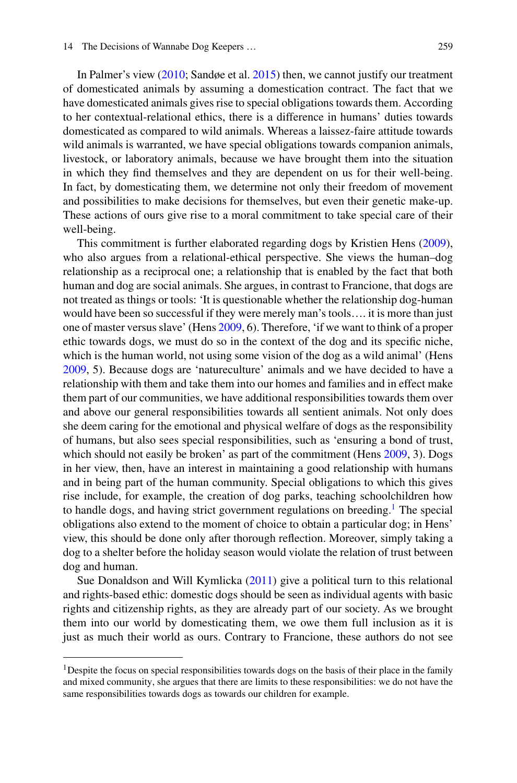In Palmer's view [\(2010;](#page-18-4) Sandøe et al. [2015\)](#page-18-5) then, we cannot justify our treatment of domesticated animals by assuming a domestication contract. The fact that we have domesticated animals gives rise to special obligations towards them. According to her contextual-relational ethics, there is a difference in humans' duties towards domesticated as compared to wild animals. Whereas a laissez-faire attitude towards wild animals is warranted, we have special obligations towards companion animals, livestock, or laboratory animals, because we have brought them into the situation in which they find themselves and they are dependent on us for their well-being. In fact, by domesticating them, we determine not only their freedom of movement and possibilities to make decisions for themselves, but even their genetic make-up. These actions of ours give rise to a moral commitment to take special care of their well-being.

This commitment is further elaborated regarding dogs by Kristien Hens [\(2009\)](#page-18-6), who also argues from a relational-ethical perspective. She views the human–dog relationship as a reciprocal one; a relationship that is enabled by the fact that both human and dog are social animals. She argues, in contrast to Francione, that dogs are not treated as things or tools: 'It is questionable whether the relationship dog-human would have been so successful if they were merely man's tools…. it is more than just one of master versus slave' (Hens [2009,](#page-18-6) 6). Therefore, 'if we want to think of a proper ethic towards dogs, we must do so in the context of the dog and its specific niche, which is the human world, not using some vision of the dog as a wild animal' (Hens [2009,](#page-18-6) 5). Because dogs are 'natureculture' animals and we have decided to have a relationship with them and take them into our homes and families and in effect make them part of our communities, we have additional responsibilities towards them over and above our general responsibilities towards all sentient animals. Not only does she deem caring for the emotional and physical welfare of dogs as the responsibility of humans, but also sees special responsibilities, such as 'ensuring a bond of trust, which should not easily be broken' as part of the commitment (Hens [2009,](#page-18-6) 3). Dogs in her view, then, have an interest in maintaining a good relationship with humans and in being part of the human community. Special obligations to which this gives rise include, for example, the creation of dog parks, teaching schoolchildren how to handle dogs, and having strict government regulations on breeding.<sup>[1](#page-4-0)</sup> The special obligations also extend to the moment of choice to obtain a particular dog; in Hens' view, this should be done only after thorough reflection. Moreover, simply taking a dog to a shelter before the holiday season would violate the relation of trust between dog and human.

Sue Donaldson and Will Kymlicka [\(2011\)](#page-17-5) give a political turn to this relational and rights-based ethic: domestic dogs should be seen as individual agents with basic rights and citizenship rights, as they are already part of our society. As we brought them into our world by domesticating them, we owe them full inclusion as it is just as much their world as ours. Contrary to Francione, these authors do not see

<span id="page-4-0"></span><sup>&</sup>lt;sup>1</sup>Despite the focus on special responsibilities towards dogs on the basis of their place in the family and mixed community, she argues that there are limits to these responsibilities: we do not have the same responsibilities towards dogs as towards our children for example.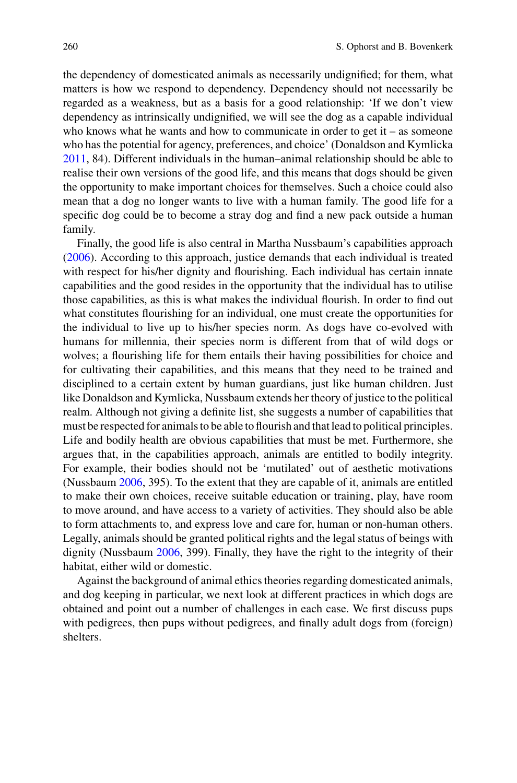the dependency of domesticated animals as necessarily undignified; for them, what matters is how we respond to dependency. Dependency should not necessarily be regarded as a weakness, but as a basis for a good relationship: 'If we don't view dependency as intrinsically undignified, we will see the dog as a capable individual who knows what he wants and how to communicate in order to get it – as someone who has the potential for agency, preferences, and choice' (Donaldson and Kymlicka [2011,](#page-17-5) 84). Different individuals in the human–animal relationship should be able to realise their own versions of the good life, and this means that dogs should be given the opportunity to make important choices for themselves. Such a choice could also mean that a dog no longer wants to live with a human family. The good life for a specific dog could be to become a stray dog and find a new pack outside a human family.

Finally, the good life is also central in Martha Nussbaum's capabilities approach [\(2006\)](#page-18-7). According to this approach, justice demands that each individual is treated with respect for his/her dignity and flourishing. Each individual has certain innate capabilities and the good resides in the opportunity that the individual has to utilise those capabilities, as this is what makes the individual flourish. In order to find out what constitutes flourishing for an individual, one must create the opportunities for the individual to live up to his/her species norm. As dogs have co-evolved with humans for millennia, their species norm is different from that of wild dogs or wolves; a flourishing life for them entails their having possibilities for choice and for cultivating their capabilities, and this means that they need to be trained and disciplined to a certain extent by human guardians, just like human children. Just like Donaldson and Kymlicka, Nussbaum extends her theory of justice to the political realm. Although not giving a definite list, she suggests a number of capabilities that must be respected for animals to be able to flourish and that lead to political principles. Life and bodily health are obvious capabilities that must be met. Furthermore, she argues that, in the capabilities approach, animals are entitled to bodily integrity. For example, their bodies should not be 'mutilated' out of aesthetic motivations (Nussbaum [2006,](#page-18-7) 395). To the extent that they are capable of it, animals are entitled to make their own choices, receive suitable education or training, play, have room to move around, and have access to a variety of activities. They should also be able to form attachments to, and express love and care for, human or non-human others. Legally, animals should be granted political rights and the legal status of beings with dignity (Nussbaum [2006,](#page-18-7) 399). Finally, they have the right to the integrity of their habitat, either wild or domestic.

Against the background of animal ethics theories regarding domesticated animals, and dog keeping in particular, we next look at different practices in which dogs are obtained and point out a number of challenges in each case. We first discuss pups with pedigrees, then pups without pedigrees, and finally adult dogs from (foreign) shelters.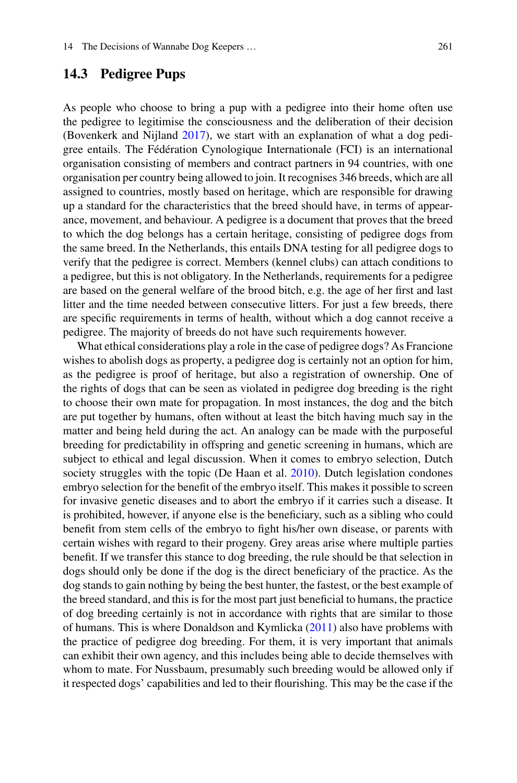# **14.3 Pedigree Pups**

As people who choose to bring a pup with a pedigree into their home often use the pedigree to legitimise the consciousness and the deliberation of their decision (Bovenkerk and Nijland [2017\)](#page-17-6), we start with an explanation of what a dog pedigree entails. The Fédération Cynologique Internationale (FCI) is an international organisation consisting of members and contract partners in 94 countries, with one organisation per country being allowed to join. It recognises 346 breeds, which are all assigned to countries, mostly based on heritage, which are responsible for drawing up a standard for the characteristics that the breed should have, in terms of appearance, movement, and behaviour. A pedigree is a document that proves that the breed to which the dog belongs has a certain heritage, consisting of pedigree dogs from the same breed. In the Netherlands, this entails DNA testing for all pedigree dogs to verify that the pedigree is correct. Members (kennel clubs) can attach conditions to a pedigree, but this is not obligatory. In the Netherlands, requirements for a pedigree are based on the general welfare of the brood bitch, e.g. the age of her first and last litter and the time needed between consecutive litters. For just a few breeds, there are specific requirements in terms of health, without which a dog cannot receive a pedigree. The majority of breeds do not have such requirements however.

What ethical considerations play a role in the case of pedigree dogs? As Francione wishes to abolish dogs as property, a pedigree dog is certainly not an option for him, as the pedigree is proof of heritage, but also a registration of ownership. One of the rights of dogs that can be seen as violated in pedigree dog breeding is the right to choose their own mate for propagation. In most instances, the dog and the bitch are put together by humans, often without at least the bitch having much say in the matter and being held during the act. An analogy can be made with the purposeful breeding for predictability in offspring and genetic screening in humans, which are subject to ethical and legal discussion. When it comes to embryo selection, Dutch society struggles with the topic (De Haan et al. [2010\)](#page-17-7). Dutch legislation condones embryo selection for the benefit of the embryo itself. This makes it possible to screen for invasive genetic diseases and to abort the embryo if it carries such a disease. It is prohibited, however, if anyone else is the beneficiary, such as a sibling who could benefit from stem cells of the embryo to fight his/her own disease, or parents with certain wishes with regard to their progeny. Grey areas arise where multiple parties benefit. If we transfer this stance to dog breeding, the rule should be that selection in dogs should only be done if the dog is the direct beneficiary of the practice. As the dog stands to gain nothing by being the best hunter, the fastest, or the best example of the breed standard, and this is for the most part just beneficial to humans, the practice of dog breeding certainly is not in accordance with rights that are similar to those of humans. This is where Donaldson and Kymlicka [\(2011\)](#page-17-5) also have problems with the practice of pedigree dog breeding. For them, it is very important that animals can exhibit their own agency, and this includes being able to decide themselves with whom to mate. For Nussbaum, presumably such breeding would be allowed only if it respected dogs' capabilities and led to their flourishing. This may be the case if the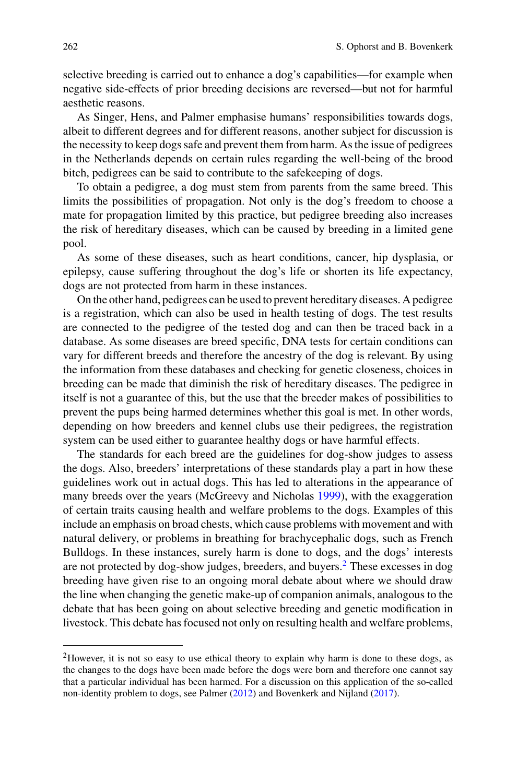selective breeding is carried out to enhance a dog's capabilities—for example when negative side-effects of prior breeding decisions are reversed—but not for harmful aesthetic reasons.

As Singer, Hens, and Palmer emphasise humans' responsibilities towards dogs, albeit to different degrees and for different reasons, another subject for discussion is the necessity to keep dogs safe and prevent them from harm. As the issue of pedigrees in the Netherlands depends on certain rules regarding the well-being of the brood bitch, pedigrees can be said to contribute to the safekeeping of dogs.

To obtain a pedigree, a dog must stem from parents from the same breed. This limits the possibilities of propagation. Not only is the dog's freedom to choose a mate for propagation limited by this practice, but pedigree breeding also increases the risk of hereditary diseases, which can be caused by breeding in a limited gene pool.

As some of these diseases, such as heart conditions, cancer, hip dysplasia, or epilepsy, cause suffering throughout the dog's life or shorten its life expectancy, dogs are not protected from harm in these instances.

On the other hand, pedigrees can be used to prevent hereditary diseases. A pedigree is a registration, which can also be used in health testing of dogs. The test results are connected to the pedigree of the tested dog and can then be traced back in a database. As some diseases are breed specific, DNA tests for certain conditions can vary for different breeds and therefore the ancestry of the dog is relevant. By using the information from these databases and checking for genetic closeness, choices in breeding can be made that diminish the risk of hereditary diseases. The pedigree in itself is not a guarantee of this, but the use that the breeder makes of possibilities to prevent the pups being harmed determines whether this goal is met. In other words, depending on how breeders and kennel clubs use their pedigrees, the registration system can be used either to guarantee healthy dogs or have harmful effects.

The standards for each breed are the guidelines for dog-show judges to assess the dogs. Also, breeders' interpretations of these standards play a part in how these guidelines work out in actual dogs. This has led to alterations in the appearance of many breeds over the years (McGreevy and Nicholas [1999\)](#page-18-8), with the exaggeration of certain traits causing health and welfare problems to the dogs. Examples of this include an emphasis on broad chests, which cause problems with movement and with natural delivery, or problems in breathing for brachycephalic dogs, such as French Bulldogs. In these instances, surely harm is done to dogs, and the dogs' interests are not protected by dog-show judges, breeders, and buyers.[2](#page-7-0) These excesses in dog breeding have given rise to an ongoing moral debate about where we should draw the line when changing the genetic make-up of companion animals, analogous to the debate that has been going on about selective breeding and genetic modification in livestock. This debate has focused not only on resulting health and welfare problems,

<span id="page-7-0"></span><sup>&</sup>lt;sup>2</sup>However, it is not so easy to use ethical theory to explain why harm is done to these dogs, as the changes to the dogs have been made before the dogs were born and therefore one cannot say that a particular individual has been harmed. For a discussion on this application of the so-called non-identity problem to dogs, see Palmer [\(2012\)](#page-18-9) and Bovenkerk and Nijland [\(2017\)](#page-17-6).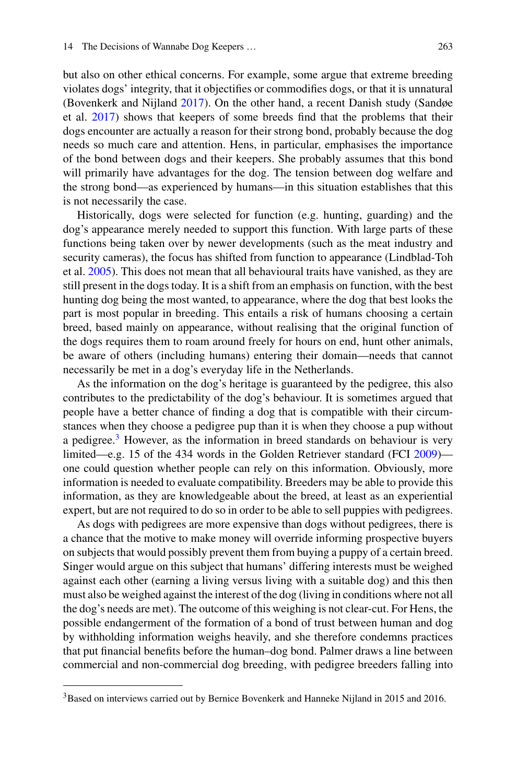but also on other ethical concerns. For example, some argue that extreme breeding violates dogs' integrity, that it objectifies or commodifies dogs, or that it is unnatural (Bovenkerk and Nijland [2017\)](#page-17-6). On the other hand, a recent Danish study (Sandøe et al. [2017\)](#page-18-10) shows that keepers of some breeds find that the problems that their dogs encounter are actually a reason for their strong bond, probably because the dog needs so much care and attention. Hens, in particular, emphasises the importance of the bond between dogs and their keepers. She probably assumes that this bond will primarily have advantages for the dog. The tension between dog welfare and the strong bond—as experienced by humans—in this situation establishes that this is not necessarily the case.

Historically, dogs were selected for function (e.g. hunting, guarding) and the dog's appearance merely needed to support this function. With large parts of these functions being taken over by newer developments (such as the meat industry and security cameras), the focus has shifted from function to appearance (Lindblad-Toh et al. [2005\)](#page-18-11). This does not mean that all behavioural traits have vanished, as they are still present in the dogs today. It is a shift from an emphasis on function, with the best hunting dog being the most wanted, to appearance, where the dog that best looks the part is most popular in breeding. This entails a risk of humans choosing a certain breed, based mainly on appearance, without realising that the original function of the dogs requires them to roam around freely for hours on end, hunt other animals, be aware of others (including humans) entering their domain—needs that cannot necessarily be met in a dog's everyday life in the Netherlands.

As the information on the dog's heritage is guaranteed by the pedigree, this also contributes to the predictability of the dog's behaviour. It is sometimes argued that people have a better chance of finding a dog that is compatible with their circumstances when they choose a pedigree pup than it is when they choose a pup without a pedigree.<sup>[3](#page-8-0)</sup> However, as the information in breed standards on behaviour is very limited—e.g. 15 of the 434 words in the Golden Retriever standard (FCI [2009\)](#page-17-8) one could question whether people can rely on this information. Obviously, more information is needed to evaluate compatibility. Breeders may be able to provide this information, as they are knowledgeable about the breed, at least as an experiential expert, but are not required to do so in order to be able to sell puppies with pedigrees.

As dogs with pedigrees are more expensive than dogs without pedigrees, there is a chance that the motive to make money will override informing prospective buyers on subjects that would possibly prevent them from buying a puppy of a certain breed. Singer would argue on this subject that humans' differing interests must be weighed against each other (earning a living versus living with a suitable dog) and this then must also be weighed against the interest of the dog (living in conditions where not all the dog's needs are met). The outcome of this weighing is not clear-cut. For Hens, the possible endangerment of the formation of a bond of trust between human and dog by withholding information weighs heavily, and she therefore condemns practices that put financial benefits before the human–dog bond. Palmer draws a line between commercial and non-commercial dog breeding, with pedigree breeders falling into

<span id="page-8-0"></span><sup>3</sup>Based on interviews carried out by Bernice Bovenkerk and Hanneke Nijland in 2015 and 2016.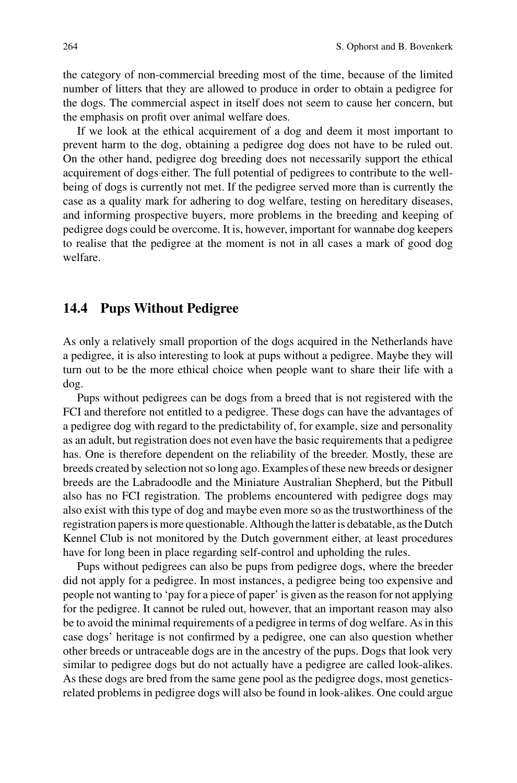the category of non-commercial breeding most of the time, because of the limited number of litters that they are allowed to produce in order to obtain a pedigree for the dogs. The commercial aspect in itself does not seem to cause her concern, but the emphasis on profit over animal welfare does.

If we look at the ethical acquirement of a dog and deem it most important to prevent harm to the dog, obtaining a pedigree dog does not have to be ruled out. On the other hand, pedigree dog breeding does not necessarily support the ethical acquirement of dogs either. The full potential of pedigrees to contribute to the wellbeing of dogs is currently not met. If the pedigree served more than is currently the case as a quality mark for adhering to dog welfare, testing on hereditary diseases, and informing prospective buyers, more problems in the breeding and keeping of pedigree dogs could be overcome. It is, however, important for wannabe dog keepers to realise that the pedigree at the moment is not in all cases a mark of good dog welfare.

# **14.4 Pups Without Pedigree**

As only a relatively small proportion of the dogs acquired in the Netherlands have a pedigree, it is also interesting to look at pups without a pedigree. Maybe they will turn out to be the more ethical choice when people want to share their life with a dog.

Pups without pedigrees can be dogs from a breed that is not registered with the FCI and therefore not entitled to a pedigree. These dogs can have the advantages of a pedigree dog with regard to the predictability of, for example, size and personality as an adult, but registration does not even have the basic requirements that a pedigree has. One is therefore dependent on the reliability of the breeder. Mostly, these are breeds created by selection not so long ago. Examples of these new breeds or designer breeds are the Labradoodle and the Miniature Australian Shepherd, but the Pitbull also has no FCI registration. The problems encountered with pedigree dogs may also exist with this type of dog and maybe even more so as the trustworthiness of the registration papers is more questionable. Although the latter is debatable, as the Dutch Kennel Club is not monitored by the Dutch government either, at least procedures have for long been in place regarding self-control and upholding the rules.

Pups without pedigrees can also be pups from pedigree dogs, where the breeder did not apply for a pedigree. In most instances, a pedigree being too expensive and people not wanting to 'pay for a piece of paper' is given as the reason for not applying for the pedigree. It cannot be ruled out, however, that an important reason may also be to avoid the minimal requirements of a pedigree in terms of dog welfare. As in this case dogs' heritage is not confirmed by a pedigree, one can also question whether other breeds or untraceable dogs are in the ancestry of the pups. Dogs that look very similar to pedigree dogs but do not actually have a pedigree are called look-alikes. As these dogs are bred from the same gene pool as the pedigree dogs, most geneticsrelated problems in pedigree dogs will also be found in look-alikes. One could argue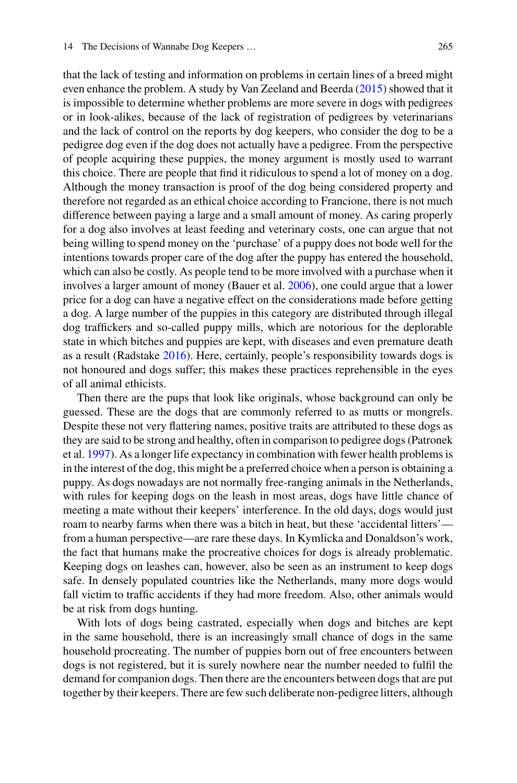that the lack of testing and information on problems in certain lines of a breed might even enhance the problem. A study by Van Zeeland and Beerda [\(2015\)](#page-19-2) showed that it is impossible to determine whether problems are more severe in dogs with pedigrees or in look-alikes, because of the lack of registration of pedigrees by veterinarians and the lack of control on the reports by dog keepers, who consider the dog to be a pedigree dog even if the dog does not actually have a pedigree. From the perspective of people acquiring these puppies, the money argument is mostly used to warrant this choice. There are people that find it ridiculous to spend a lot of money on a dog. Although the money transaction is proof of the dog being considered property and therefore not regarded as an ethical choice according to Francione, there is not much difference between paying a large and a small amount of money. As caring properly for a dog also involves at least feeding and veterinary costs, one can argue that not being willing to spend money on the 'purchase' of a puppy does not bode well for the intentions towards proper care of the dog after the puppy has entered the household, which can also be costly. As people tend to be more involved with a purchase when it involves a larger amount of money (Bauer et al. [2006\)](#page-17-9), one could argue that a lower price for a dog can have a negative effect on the considerations made before getting a dog. A large number of the puppies in this category are distributed through illegal dog traffickers and so-called puppy mills, which are notorious for the deplorable state in which bitches and puppies are kept, with diseases and even premature death as a result (Radstake [2016\)](#page-18-12). Here, certainly, people's responsibility towards dogs is not honoured and dogs suffer; this makes these practices reprehensible in the eyes of all animal ethicists.

Then there are the pups that look like originals, whose background can only be guessed. These are the dogs that are commonly referred to as mutts or mongrels. Despite these not very flattering names, positive traits are attributed to these dogs as they are said to be strong and healthy, often in comparison to pedigree dogs (Patronek et al. [1997\)](#page-18-13). As a longer life expectancy in combination with fewer health problems is in the interest of the dog, this might be a preferred choice when a person is obtaining a puppy. As dogs nowadays are not normally free-ranging animals in the Netherlands, with rules for keeping dogs on the leash in most areas, dogs have little chance of meeting a mate without their keepers' interference. In the old days, dogs would just roam to nearby farms when there was a bitch in heat, but these 'accidental litters' from a human perspective—are rare these days. In Kymlicka and Donaldson's work, the fact that humans make the procreative choices for dogs is already problematic. Keeping dogs on leashes can, however, also be seen as an instrument to keep dogs safe. In densely populated countries like the Netherlands, many more dogs would fall victim to traffic accidents if they had more freedom. Also, other animals would be at risk from dogs hunting.

With lots of dogs being castrated, especially when dogs and bitches are kept in the same household, there is an increasingly small chance of dogs in the same household procreating. The number of puppies born out of free encounters between dogs is not registered, but it is surely nowhere near the number needed to fulfil the demand for companion dogs. Then there are the encounters between dogs that are put together by their keepers. There are few such deliberate non-pedigree litters, although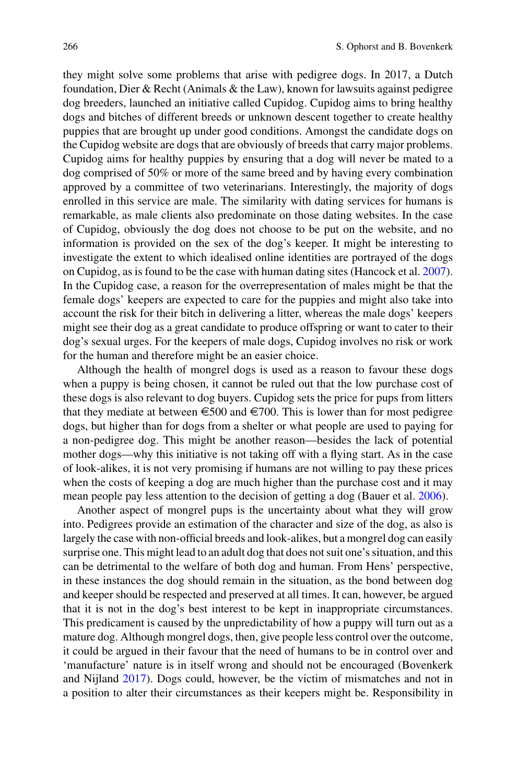they might solve some problems that arise with pedigree dogs. In 2017, a Dutch foundation, Dier & Recht (Animals & the Law), known for lawsuits against pedigree dog breeders, launched an initiative called Cupidog. Cupidog aims to bring healthy dogs and bitches of different breeds or unknown descent together to create healthy puppies that are brought up under good conditions. Amongst the candidate dogs on the Cupidog website are dogs that are obviously of breeds that carry major problems. Cupidog aims for healthy puppies by ensuring that a dog will never be mated to a dog comprised of 50% or more of the same breed and by having every combination approved by a committee of two veterinarians. Interestingly, the majority of dogs enrolled in this service are male. The similarity with dating services for humans is remarkable, as male clients also predominate on those dating websites. In the case of Cupidog, obviously the dog does not choose to be put on the website, and no information is provided on the sex of the dog's keeper. It might be interesting to investigate the extent to which idealised online identities are portrayed of the dogs on Cupidog, as is found to be the case with human dating sites (Hancock et al. [2007\)](#page-18-14). In the Cupidog case, a reason for the overrepresentation of males might be that the female dogs' keepers are expected to care for the puppies and might also take into account the risk for their bitch in delivering a litter, whereas the male dogs' keepers might see their dog as a great candidate to produce offspring or want to cater to their dog's sexual urges. For the keepers of male dogs, Cupidog involves no risk or work for the human and therefore might be an easier choice.

Although the health of mongrel dogs is used as a reason to favour these dogs when a puppy is being chosen, it cannot be ruled out that the low purchase cost of these dogs is also relevant to dog buyers. Cupidog sets the price for pups from litters that they mediate at between  $\epsilon$ 500 and  $\epsilon$ 700. This is lower than for most pedigree dogs, but higher than for dogs from a shelter or what people are used to paying for a non-pedigree dog. This might be another reason—besides the lack of potential mother dogs—why this initiative is not taking off with a flying start. As in the case of look-alikes, it is not very promising if humans are not willing to pay these prices when the costs of keeping a dog are much higher than the purchase cost and it may mean people pay less attention to the decision of getting a dog (Bauer et al. [2006\)](#page-17-9).

Another aspect of mongrel pups is the uncertainty about what they will grow into. Pedigrees provide an estimation of the character and size of the dog, as also is largely the case with non-official breeds and look-alikes, but a mongrel dog can easily surprise one. This might lead to an adult dog that does not suit one's situation, and this can be detrimental to the welfare of both dog and human. From Hens' perspective, in these instances the dog should remain in the situation, as the bond between dog and keeper should be respected and preserved at all times. It can, however, be argued that it is not in the dog's best interest to be kept in inappropriate circumstances. This predicament is caused by the unpredictability of how a puppy will turn out as a mature dog. Although mongrel dogs, then, give people less control over the outcome, it could be argued in their favour that the need of humans to be in control over and 'manufacture' nature is in itself wrong and should not be encouraged (Bovenkerk and Nijland [2017\)](#page-17-6). Dogs could, however, be the victim of mismatches and not in a position to alter their circumstances as their keepers might be. Responsibility in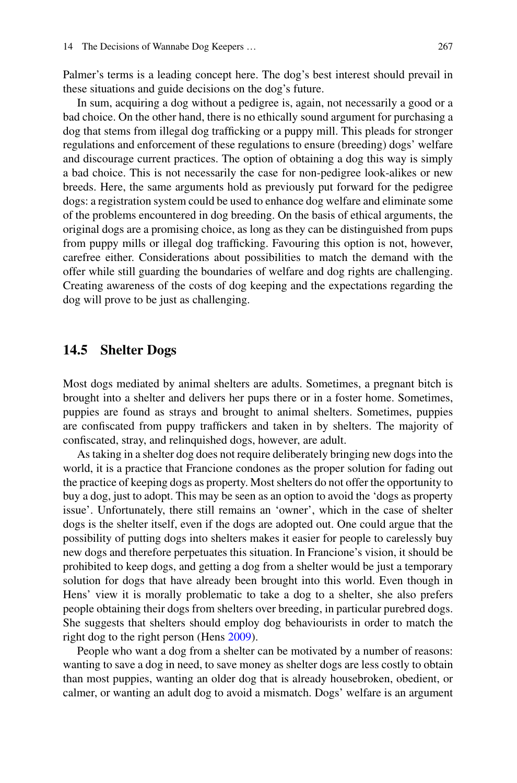Palmer's terms is a leading concept here. The dog's best interest should prevail in these situations and guide decisions on the dog's future.

In sum, acquiring a dog without a pedigree is, again, not necessarily a good or a bad choice. On the other hand, there is no ethically sound argument for purchasing a dog that stems from illegal dog trafficking or a puppy mill. This pleads for stronger regulations and enforcement of these regulations to ensure (breeding) dogs' welfare and discourage current practices. The option of obtaining a dog this way is simply a bad choice. This is not necessarily the case for non-pedigree look-alikes or new breeds. Here, the same arguments hold as previously put forward for the pedigree dogs: a registration system could be used to enhance dog welfare and eliminate some of the problems encountered in dog breeding. On the basis of ethical arguments, the original dogs are a promising choice, as long as they can be distinguished from pups from puppy mills or illegal dog trafficking. Favouring this option is not, however, carefree either. Considerations about possibilities to match the demand with the offer while still guarding the boundaries of welfare and dog rights are challenging. Creating awareness of the costs of dog keeping and the expectations regarding the dog will prove to be just as challenging.

#### **14.5 Shelter Dogs**

Most dogs mediated by animal shelters are adults. Sometimes, a pregnant bitch is brought into a shelter and delivers her pups there or in a foster home. Sometimes, puppies are found as strays and brought to animal shelters. Sometimes, puppies are confiscated from puppy traffickers and taken in by shelters. The majority of confiscated, stray, and relinquished dogs, however, are adult.

As taking in a shelter dog does not require deliberately bringing new dogs into the world, it is a practice that Francione condones as the proper solution for fading out the practice of keeping dogs as property. Most shelters do not offer the opportunity to buy a dog, just to adopt. This may be seen as an option to avoid the 'dogs as property issue'. Unfortunately, there still remains an 'owner', which in the case of shelter dogs is the shelter itself, even if the dogs are adopted out. One could argue that the possibility of putting dogs into shelters makes it easier for people to carelessly buy new dogs and therefore perpetuates this situation. In Francione's vision, it should be prohibited to keep dogs, and getting a dog from a shelter would be just a temporary solution for dogs that have already been brought into this world. Even though in Hens' view it is morally problematic to take a dog to a shelter, she also prefers people obtaining their dogs from shelters over breeding, in particular purebred dogs. She suggests that shelters should employ dog behaviourists in order to match the right dog to the right person (Hens [2009\)](#page-18-6).

People who want a dog from a shelter can be motivated by a number of reasons: wanting to save a dog in need, to save money as shelter dogs are less costly to obtain than most puppies, wanting an older dog that is already housebroken, obedient, or calmer, or wanting an adult dog to avoid a mismatch. Dogs' welfare is an argument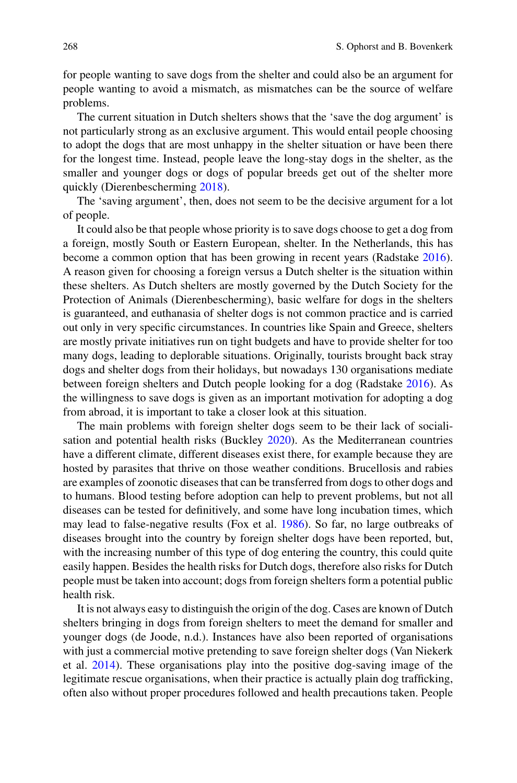for people wanting to save dogs from the shelter and could also be an argument for people wanting to avoid a mismatch, as mismatches can be the source of welfare problems.

The current situation in Dutch shelters shows that the 'save the dog argument' is not particularly strong as an exclusive argument. This would entail people choosing to adopt the dogs that are most unhappy in the shelter situation or have been there for the longest time. Instead, people leave the long-stay dogs in the shelter, as the smaller and younger dogs or dogs of popular breeds get out of the shelter more quickly (Dierenbescherming [2018\)](#page-17-10).

The 'saving argument', then, does not seem to be the decisive argument for a lot of people.

It could also be that people whose priority is to save dogs choose to get a dog from a foreign, mostly South or Eastern European, shelter. In the Netherlands, this has become a common option that has been growing in recent years (Radstake [2016\)](#page-18-12). A reason given for choosing a foreign versus a Dutch shelter is the situation within these shelters. As Dutch shelters are mostly governed by the Dutch Society for the Protection of Animals (Dierenbescherming), basic welfare for dogs in the shelters is guaranteed, and euthanasia of shelter dogs is not common practice and is carried out only in very specific circumstances. In countries like Spain and Greece, shelters are mostly private initiatives run on tight budgets and have to provide shelter for too many dogs, leading to deplorable situations. Originally, tourists brought back stray dogs and shelter dogs from their holidays, but nowadays 130 organisations mediate between foreign shelters and Dutch people looking for a dog (Radstake [2016\)](#page-18-12). As the willingness to save dogs is given as an important motivation for adopting a dog from abroad, it is important to take a closer look at this situation.

The main problems with foreign shelter dogs seem to be their lack of socialisation and potential health risks (Buckley [2020\)](#page-17-11). As the Mediterranean countries have a different climate, different diseases exist there, for example because they are hosted by parasites that thrive on those weather conditions. Brucellosis and rabies are examples of zoonotic diseases that can be transferred from dogs to other dogs and to humans. Blood testing before adoption can help to prevent problems, but not all diseases can be tested for definitively, and some have long incubation times, which may lead to false-negative results (Fox et al. [1986\)](#page-17-12). So far, no large outbreaks of diseases brought into the country by foreign shelter dogs have been reported, but, with the increasing number of this type of dog entering the country, this could quite easily happen. Besides the health risks for Dutch dogs, therefore also risks for Dutch people must be taken into account; dogs from foreign shelters form a potential public health risk.

It is not always easy to distinguish the origin of the dog. Cases are known of Dutch shelters bringing in dogs from foreign shelters to meet the demand for smaller and younger dogs (de Joode, n.d.). Instances have also been reported of organisations with just a commercial motive pretending to save foreign shelter dogs (Van Niekerk et al. [2014\)](#page-19-3). These organisations play into the positive dog-saving image of the legitimate rescue organisations, when their practice is actually plain dog trafficking, often also without proper procedures followed and health precautions taken. People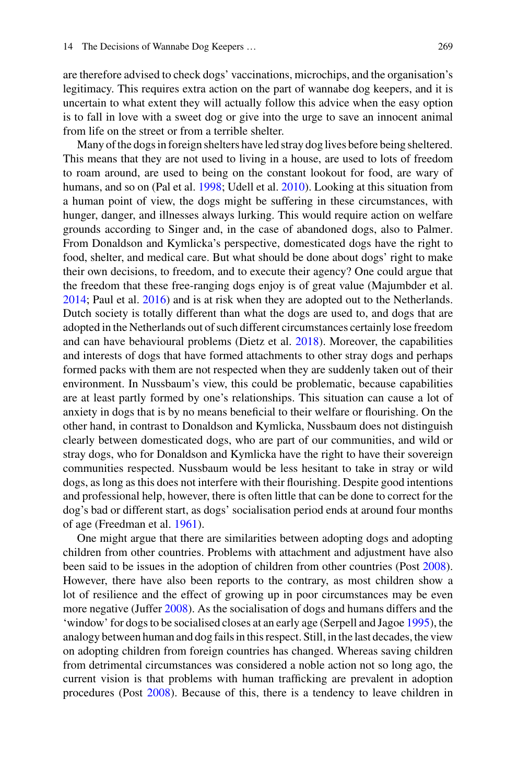are therefore advised to check dogs' vaccinations, microchips, and the organisation's legitimacy. This requires extra action on the part of wannabe dog keepers, and it is uncertain to what extent they will actually follow this advice when the easy option is to fall in love with a sweet dog or give into the urge to save an innocent animal from life on the street or from a terrible shelter.

Many of the dogs in foreign shelters have led stray dog lives before being sheltered. This means that they are not used to living in a house, are used to lots of freedom to roam around, are used to being on the constant lookout for food, are wary of humans, and so on (Pal et al. [1998;](#page-18-15) Udell et al. [2010\)](#page-19-4). Looking at this situation from a human point of view, the dogs might be suffering in these circumstances, with hunger, danger, and illnesses always lurking. This would require action on welfare grounds according to Singer and, in the case of abandoned dogs, also to Palmer. From Donaldson and Kymlicka's perspective, domesticated dogs have the right to food, shelter, and medical care. But what should be done about dogs' right to make their own decisions, to freedom, and to execute their agency? One could argue that the freedom that these free-ranging dogs enjoy is of great value (Majumbder et al. [2014;](#page-18-16) Paul et al. [2016\)](#page-18-17) and is at risk when they are adopted out to the Netherlands. Dutch society is totally different than what the dogs are used to, and dogs that are adopted in the Netherlands out of such different circumstances certainly lose freedom and can have behavioural problems (Dietz et al. [2018\)](#page-17-13). Moreover, the capabilities and interests of dogs that have formed attachments to other stray dogs and perhaps formed packs with them are not respected when they are suddenly taken out of their environment. In Nussbaum's view, this could be problematic, because capabilities are at least partly formed by one's relationships. This situation can cause a lot of anxiety in dogs that is by no means beneficial to their welfare or flourishing. On the other hand, in contrast to Donaldson and Kymlicka, Nussbaum does not distinguish clearly between domesticated dogs, who are part of our communities, and wild or stray dogs, who for Donaldson and Kymlicka have the right to have their sovereign communities respected. Nussbaum would be less hesitant to take in stray or wild dogs, as long as this does not interfere with their flourishing. Despite good intentions and professional help, however, there is often little that can be done to correct for the dog's bad or different start, as dogs' socialisation period ends at around four months of age (Freedman et al. [1961\)](#page-18-18).

One might argue that there are similarities between adopting dogs and adopting children from other countries. Problems with attachment and adjustment have also been said to be issues in the adoption of children from other countries (Post [2008\)](#page-18-19). However, there have also been reports to the contrary, as most children show a lot of resilience and the effect of growing up in poor circumstances may be even more negative (Juffer [2008\)](#page-18-20). As the socialisation of dogs and humans differs and the 'window' for dogs to be socialised closes at an early age (Serpell and Jagoe [1995\)](#page-18-21), the analogy between human and dog fails in this respect. Still, in the last decades, the view on adopting children from foreign countries has changed. Whereas saving children from detrimental circumstances was considered a noble action not so long ago, the current vision is that problems with human trafficking are prevalent in adoption procedures (Post [2008\)](#page-18-19). Because of this, there is a tendency to leave children in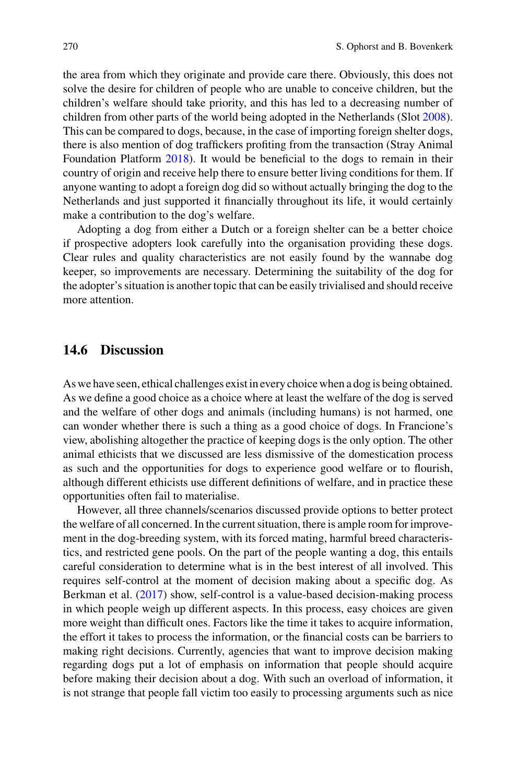the area from which they originate and provide care there. Obviously, this does not solve the desire for children of people who are unable to conceive children, but the children's welfare should take priority, and this has led to a decreasing number of children from other parts of the world being adopted in the Netherlands (Slot [2008\)](#page-19-5). This can be compared to dogs, because, in the case of importing foreign shelter dogs, there is also mention of dog traffickers profiting from the transaction (Stray Animal Foundation Platform [2018\)](#page-19-6). It would be beneficial to the dogs to remain in their country of origin and receive help there to ensure better living conditions for them. If anyone wanting to adopt a foreign dog did so without actually bringing the dog to the Netherlands and just supported it financially throughout its life, it would certainly make a contribution to the dog's welfare.

Adopting a dog from either a Dutch or a foreign shelter can be a better choice if prospective adopters look carefully into the organisation providing these dogs. Clear rules and quality characteristics are not easily found by the wannabe dog keeper, so improvements are necessary. Determining the suitability of the dog for the adopter's situation is another topic that can be easily trivialised and should receive more attention.

#### **14.6 Discussion**

As we have seen, ethical challenges exist in every choice when a dog is being obtained. As we define a good choice as a choice where at least the welfare of the dog is served and the welfare of other dogs and animals (including humans) is not harmed, one can wonder whether there is such a thing as a good choice of dogs. In Francione's view, abolishing altogether the practice of keeping dogs is the only option. The other animal ethicists that we discussed are less dismissive of the domestication process as such and the opportunities for dogs to experience good welfare or to flourish, although different ethicists use different definitions of welfare, and in practice these opportunities often fail to materialise.

However, all three channels/scenarios discussed provide options to better protect the welfare of all concerned. In the current situation, there is ample room for improvement in the dog-breeding system, with its forced mating, harmful breed characteristics, and restricted gene pools. On the part of the people wanting a dog, this entails careful consideration to determine what is in the best interest of all involved. This requires self-control at the moment of decision making about a specific dog. As Berkman et al. [\(2017\)](#page-17-14) show, self-control is a value-based decision-making process in which people weigh up different aspects. In this process, easy choices are given more weight than difficult ones. Factors like the time it takes to acquire information, the effort it takes to process the information, or the financial costs can be barriers to making right decisions. Currently, agencies that want to improve decision making regarding dogs put a lot of emphasis on information that people should acquire before making their decision about a dog. With such an overload of information, it is not strange that people fall victim too easily to processing arguments such as nice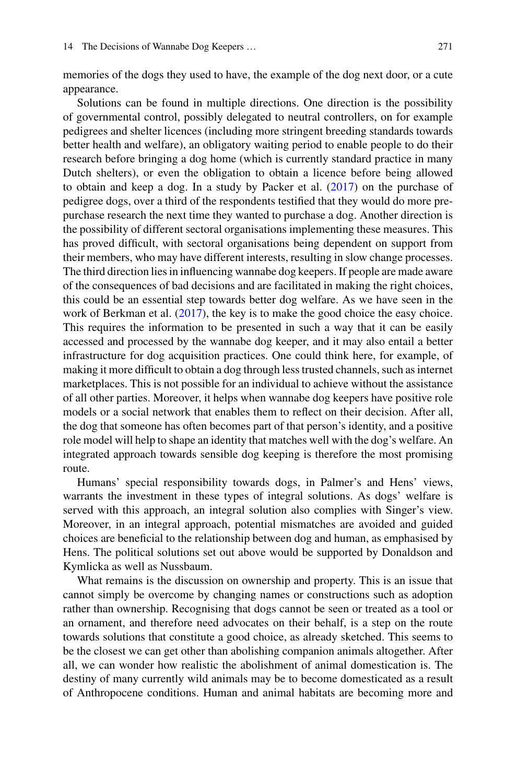memories of the dogs they used to have, the example of the dog next door, or a cute appearance.

Solutions can be found in multiple directions. One direction is the possibility of governmental control, possibly delegated to neutral controllers, on for example pedigrees and shelter licences (including more stringent breeding standards towards better health and welfare), an obligatory waiting period to enable people to do their research before bringing a dog home (which is currently standard practice in many Dutch shelters), or even the obligation to obtain a licence before being allowed to obtain and keep a dog. In a study by Packer et al. [\(2017\)](#page-18-22) on the purchase of pedigree dogs, over a third of the respondents testified that they would do more prepurchase research the next time they wanted to purchase a dog. Another direction is the possibility of different sectoral organisations implementing these measures. This has proved difficult, with sectoral organisations being dependent on support from their members, who may have different interests, resulting in slow change processes. The third direction lies in influencing wannabe dog keepers. If people are made aware of the consequences of bad decisions and are facilitated in making the right choices, this could be an essential step towards better dog welfare. As we have seen in the work of Berkman et al.  $(2017)$ , the key is to make the good choice the easy choice. This requires the information to be presented in such a way that it can be easily accessed and processed by the wannabe dog keeper, and it may also entail a better infrastructure for dog acquisition practices. One could think here, for example, of making it more difficult to obtain a dog through less trusted channels, such as internet marketplaces. This is not possible for an individual to achieve without the assistance of all other parties. Moreover, it helps when wannabe dog keepers have positive role models or a social network that enables them to reflect on their decision. After all, the dog that someone has often becomes part of that person's identity, and a positive role model will help to shape an identity that matches well with the dog's welfare. An integrated approach towards sensible dog keeping is therefore the most promising route.

Humans' special responsibility towards dogs, in Palmer's and Hens' views, warrants the investment in these types of integral solutions. As dogs' welfare is served with this approach, an integral solution also complies with Singer's view. Moreover, in an integral approach, potential mismatches are avoided and guided choices are beneficial to the relationship between dog and human, as emphasised by Hens. The political solutions set out above would be supported by Donaldson and Kymlicka as well as Nussbaum.

What remains is the discussion on ownership and property. This is an issue that cannot simply be overcome by changing names or constructions such as adoption rather than ownership. Recognising that dogs cannot be seen or treated as a tool or an ornament, and therefore need advocates on their behalf, is a step on the route towards solutions that constitute a good choice, as already sketched. This seems to be the closest we can get other than abolishing companion animals altogether. After all, we can wonder how realistic the abolishment of animal domestication is. The destiny of many currently wild animals may be to become domesticated as a result of Anthropocene conditions. Human and animal habitats are becoming more and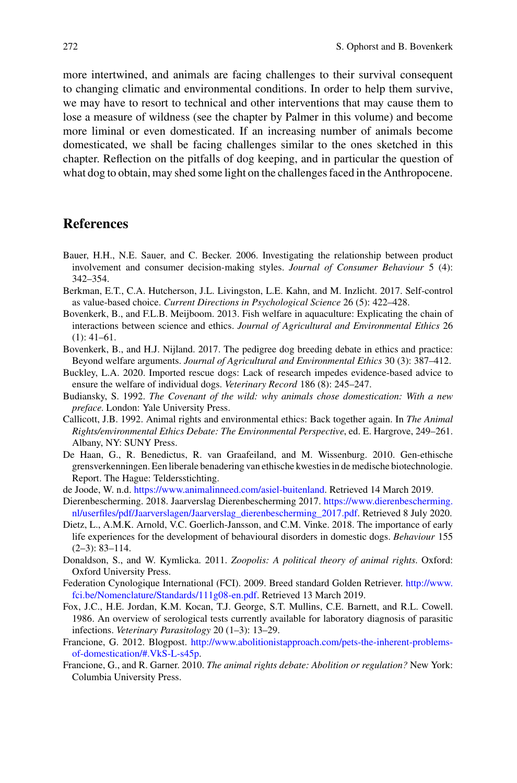more intertwined, and animals are facing challenges to their survival consequent to changing climatic and environmental conditions. In order to help them survive, we may have to resort to technical and other interventions that may cause them to lose a measure of wildness (see the chapter by Palmer in this volume) and become more liminal or even domesticated. If an increasing number of animals become domesticated, we shall be facing challenges similar to the ones sketched in this chapter. Reflection on the pitfalls of dog keeping, and in particular the question of what dog to obtain, may shed some light on the challenges faced in the Anthropocene.

# **References**

- <span id="page-17-9"></span>Bauer, H.H., N.E. Sauer, and C. Becker. 2006. Investigating the relationship between product involvement and consumer decision-making styles. *Journal of Consumer Behaviour* 5 (4): 342–354.
- <span id="page-17-14"></span>Berkman, E.T., C.A. Hutcherson, J.L. Livingston, L.E. Kahn, and M. Inzlicht. 2017. Self-control as value-based choice. *Current Directions in Psychological Science* 26 (5): 422–428.
- <span id="page-17-0"></span>Bovenkerk, B., and F.L.B. Meijboom. 2013. Fish welfare in aquaculture: Explicating the chain of interactions between science and ethics. *Journal of Agricultural and Environmental Ethics* 26  $(1): 41-61.$
- <span id="page-17-6"></span>Bovenkerk, B., and H.J. Nijland. 2017. The pedigree dog breeding debate in ethics and practice: Beyond welfare arguments. *Journal of Agricultural and Environmental Ethics* 30 (3): 387–412.
- <span id="page-17-11"></span>Buckley, L.A. 2020. Imported rescue dogs: Lack of research impedes evidence-based advice to ensure the welfare of individual dogs. *Veterinary Record* 186 (8): 245–247.
- <span id="page-17-3"></span>Budiansky, S. 1992. *The Covenant of the wild: why animals chose domestication: With a new preface*. London: Yale University Press.
- <span id="page-17-4"></span>Callicott, J.B. 1992. Animal rights and environmental ethics: Back together again. In *The Animal Rights/environmental Ethics Debate: The Environmental Perspective*, ed. E. Hargrove, 249–261. Albany, NY: SUNY Press.
- <span id="page-17-7"></span>De Haan, G., R. Benedictus, R. van Graafeiland, and M. Wissenburg. 2010. Gen-ethische grensverkenningen. Een liberale benadering van ethische kwesties in de medische biotechnologie. Report. The Hague: Teldersstichting.
- de Joode, W. n.d. [https://www.animalinneed.com/asiel-buitenland.](https://www.animalinneed.com/asiel-buitenland) Retrieved 14 March 2019.
- <span id="page-17-10"></span>Dierenbescherming. 2018. Jaarverslag Dierenbescherming 2017. https://www.dierenbescherming. [nl/userfiles/pdf/Jaarverslagen/Jaarverslag\\_dierenbescherming\\_2017.pdf. Retrieved 8 July 2020.](https://www.dierenbescherming.nl/userfiles/pdf/Jaarverslagen/Jaarverslag_dierenbescherming_2017.pdf)
- <span id="page-17-13"></span>Dietz, L., A.M.K. Arnold, V.C. Goerlich-Jansson, and C.M. Vinke. 2018. The importance of early life experiences for the development of behavioural disorders in domestic dogs. *Behaviour* 155 (2–3): 83–114.
- <span id="page-17-5"></span>Donaldson, S., and W. Kymlicka. 2011. *Zoopolis: A political theory of animal rights*. Oxford: Oxford University Press.
- <span id="page-17-8"></span>F[ederation Cynologique International \(FCI\). 2009. Breed standard Golden Retriever.](http://www.fci.be/Nomenclature/Standards/111g08-en.pdf) http://www. fci.be/Nomenclature/Standards/111g08-en.pdf. Retrieved 13 March 2019.
- <span id="page-17-12"></span>Fox, J.C., H.E. Jordan, K.M. Kocan, T.J. George, S.T. Mullins, C.E. Barnett, and R.L. Cowell. 1986. An overview of serological tests currently available for laboratory diagnosis of parasitic infections. *Veterinary Parasitology* 20 (1–3): 13–29.
- <span id="page-17-2"></span>Francione, G. 2012. Blogpost. [http://www.abolitionistapproach.com/pets-the-inherent-problems](http://www.abolitionistapproach.com/pets-the-inherent-problems-of-domestication/#.VkS-L-s45p)of-domestication/#.VkS-L-s45p.
- <span id="page-17-1"></span>Francione, G., and R. Garner. 2010. *The animal rights debate: Abolition or regulation?* New York: Columbia University Press.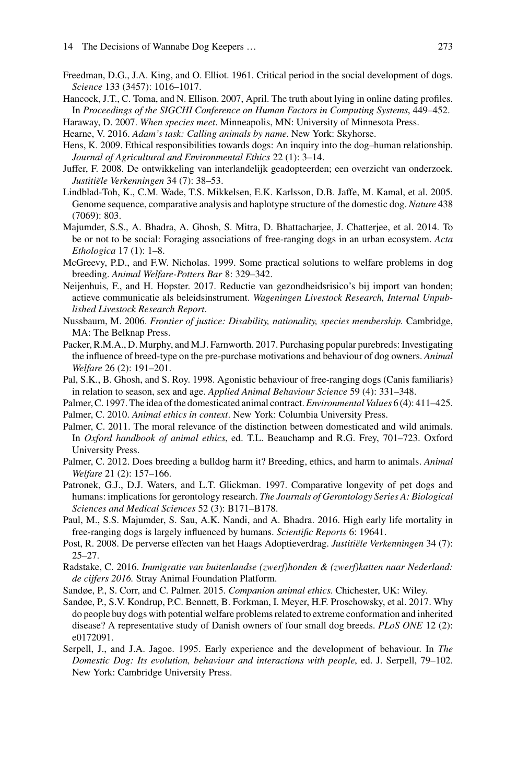- <span id="page-18-18"></span>Freedman, D.G., J.A. King, and O. Elliot. 1961. Critical period in the social development of dogs. *Science* 133 (3457): 1016–1017.
- <span id="page-18-14"></span>Hancock, J.T., C. Toma, and N. Ellison. 2007, April. The truth about lying in online dating profiles. In *Proceedings of the SIGCHI Conference on Human Factors in Computing Systems*, 449–452.
- <span id="page-18-1"></span>Haraway, D. 2007. *When species meet*. Minneapolis, MN: University of Minnesota Press.
- <span id="page-18-0"></span>Hearne, V. 2016. *Adam's task: Calling animals by name*. New York: Skyhorse.
- <span id="page-18-6"></span>Hens, K. 2009. Ethical responsibilities towards dogs: An inquiry into the dog–human relationship. *Journal of Agricultural and Environmental Ethics* 22 (1): 3–14.
- <span id="page-18-20"></span>Juffer, F. 2008. De ontwikkeling van interlandelijk geadopteerden; een overzicht van onderzoek. *Justitiële Verkenningen* 34 (7): 38–53.
- <span id="page-18-11"></span>Lindblad-Toh, K., C.M. Wade, T.S. Mikkelsen, E.K. Karlsson, D.B. Jaffe, M. Kamal, et al. 2005. Genome sequence, comparative analysis and haplotype structure of the domestic dog. *Nature* 438 (7069): 803.
- <span id="page-18-16"></span>Majumder, S.S., A. Bhadra, A. Ghosh, S. Mitra, D. Bhattacharjee, J. Chatterjee, et al. 2014. To be or not to be social: Foraging associations of free-ranging dogs in an urban ecosystem. *Acta Ethologica* 17 (1): 1–8.
- <span id="page-18-8"></span>McGreevy, P.D., and F.W. Nicholas. 1999. Some practical solutions to welfare problems in dog breeding. *Animal Welfare-Potters Bar* 8: 329–342.
- <span id="page-18-2"></span>Neijenhuis, F., and H. Hopster. 2017. Reductie van gezondheidsrisico's bij import van honden; actieve communicatie als beleidsinstrument. *Wageningen Livestock Research, Internal Unpublished Livestock Research Report*.
- <span id="page-18-7"></span>Nussbaum, M. 2006. *Frontier of justice: Disability, nationality, species membership.* Cambridge, MA: The Belknap Press.
- <span id="page-18-22"></span>Packer, R.M.A., D. Murphy, and M.J. Farnworth. 2017. Purchasing popular purebreds: Investigating the influence of breed-type on the pre-purchase motivations and behaviour of dog owners. *Animal Welfare* 26 (2): 191–201.
- <span id="page-18-15"></span>Pal, S.K., B. Ghosh, and S. Roy. 1998. Agonistic behaviour of free-ranging dogs (Canis familiaris) in relation to season, sex and age. *Applied Animal Behaviour Science* 59 (4): 331–348.
- <span id="page-18-3"></span>Palmer, C. 1997. The idea of the domesticated animal contract.*Environmental Values* 6 (4): 411–425.
- <span id="page-18-4"></span>Palmer, C. 2010. *Animal ethics in context*. New York: Columbia University Press.
- Palmer, C. 2011. The moral relevance of the distinction between domesticated and wild animals. In *Oxford handbook of animal ethics*, ed. T.L. Beauchamp and R.G. Frey, 701–723. Oxford University Press.
- <span id="page-18-9"></span>Palmer, C. 2012. Does breeding a bulldog harm it? Breeding, ethics, and harm to animals. *Animal Welfare* 21 (2): 157–166.
- <span id="page-18-13"></span>Patronek, G.J., D.J. Waters, and L.T. Glickman. 1997. Comparative longevity of pet dogs and humans: implications for gerontology research. *The Journals of Gerontology Series A: Biological Sciences and Medical Sciences* 52 (3): B171–B178.
- <span id="page-18-17"></span>Paul, M., S.S. Majumder, S. Sau, A.K. Nandi, and A. Bhadra. 2016. High early life mortality in free-ranging dogs is largely influenced by humans. *Scientific Reports* 6: 19641.
- <span id="page-18-19"></span>Post, R. 2008. De perverse effecten van het Haags Adoptieverdrag. *Justitiële Verkenningen* 34 (7): 25–27.
- <span id="page-18-12"></span>Radstake, C. 2016. *Immigratie van buitenlandse (zwerf)honden & (zwerf)katten naar Nederland: de cijfers 2016.* Stray Animal Foundation Platform.
- <span id="page-18-5"></span>Sandøe, P., S. Corr, and C. Palmer. 2015. *Companion animal ethics*. Chichester, UK: Wiley.
- <span id="page-18-10"></span>Sandøe, P., S.V. Kondrup, P.C. Bennett, B. Forkman, I. Meyer, H.F. Proschowsky, et al. 2017. Why do people buy dogs with potential welfare problems related to extreme conformation and inherited disease? A representative study of Danish owners of four small dog breeds. *PLoS ONE* 12 (2): e0172091.
- <span id="page-18-21"></span>Serpell, J., and J.A. Jagoe. 1995. Early experience and the development of behaviour. In *The Domestic Dog: Its evolution, behaviour and interactions with people*, ed. J. Serpell, 79–102. New York: Cambridge University Press.